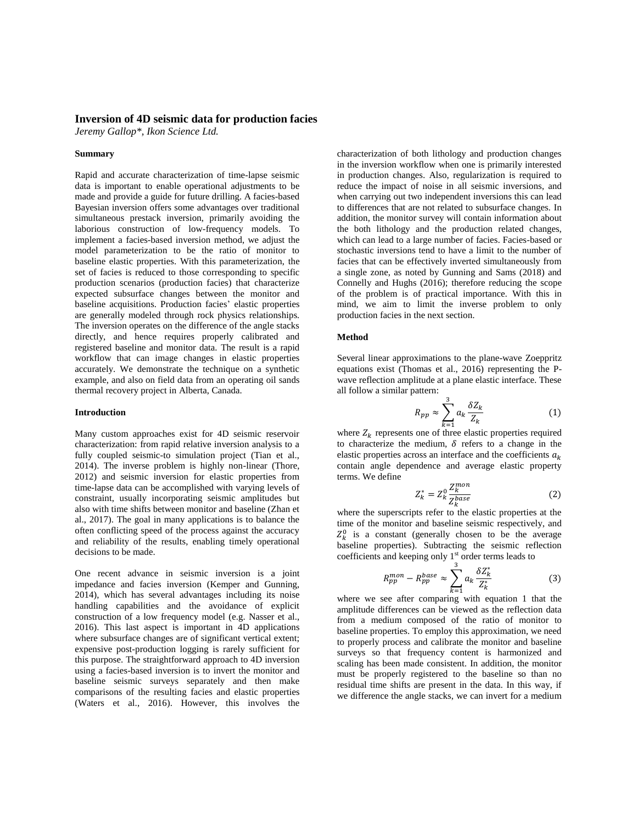# **Inversion of 4D seismic data for production facies**

*Jeremy Gallop\*, Ikon Science Ltd.*

### **Summary**

Rapid and accurate characterization of time-lapse seismic data is important to enable operational adjustments to be made and provide a guide for future drilling. A facies-based Bayesian inversion offers some advantages over traditional simultaneous prestack inversion, primarily avoiding the laborious construction of low-frequency models. To implement a facies-based inversion method, we adjust the model parameterization to be the ratio of monitor to baseline elastic properties. With this parameterization, the set of facies is reduced to those corresponding to specific production scenarios (production facies) that characterize expected subsurface changes between the monitor and baseline acquisitions. Production facies' elastic properties are generally modeled through rock physics relationships. The inversion operates on the difference of the angle stacks directly, and hence requires properly calibrated and registered baseline and monitor data. The result is a rapid workflow that can image changes in elastic properties accurately. We demonstrate the technique on a synthetic example, and also on field data from an operating oil sands thermal recovery project in Alberta, Canada.

### **Introduction**

Many custom approaches exist for 4D seismic reservoir characterization: from rapid relative inversion analysis to a fully coupled seismic-to simulation project (Tian et al., 2014). The inverse problem is highly non-linear (Thore, 2012) and seismic inversion for elastic properties from time-lapse data can be accomplished with varying levels of constraint, usually incorporating seismic amplitudes but also with time shifts between monitor and baseline (Zhan et al., 2017). The goal in many applications is to balance the often conflicting speed of the process against the accuracy and reliability of the results, enabling timely operational decisions to be made.

One recent advance in seismic inversion is a joint impedance and facies inversion (Kemper and Gunning, 2014), which has several advantages including its noise handling capabilities and the avoidance of explicit construction of a low frequency model (e.g. Nasser et al., 2016). This last aspect is important in 4D applications where subsurface changes are of significant vertical extent; expensive post-production logging is rarely sufficient for this purpose. The straightforward approach to 4D inversion using a facies-based inversion is to invert the monitor and baseline seismic surveys separately and then make comparisons of the resulting facies and elastic properties (Waters et al., 2016). However, this involves the

characterization of both lithology and production changes in the inversion workflow when one is primarily interested in production changes. Also, regularization is required to reduce the impact of noise in all seismic inversions, and when carrying out two independent inversions this can lead to differences that are not related to subsurface changes. In addition, the monitor survey will contain information about the both lithology and the production related changes, which can lead to a large number of facies. Facies-based or stochastic inversions tend to have a limit to the number of facies that can be effectively inverted simultaneously from a single zone, as noted by Gunning and Sams (2018) and Connelly and Hughs (2016); therefore reducing the scope of the problem is of practical importance. With this in mind, we aim to limit the inverse problem to only production facies in the next section.

### **Method**

Several linear approximations to the plane-wave Zoeppritz equations exist (Thomas et al., 2016) representing the Pwave reflection amplitude at a plane elastic interface. These all follow a similar pattern:

$$
R_{pp} \approx \sum_{k=1}^{3} a_k \frac{\delta Z_k}{Z_k} \tag{1}
$$

where  $Z_k$  represents one of three elastic properties required to characterize the medium,  $\delta$  refers to a change in the elastic properties across an interface and the coefficients  $a_k$ contain angle dependence and average elastic property terms. We define

$$
Z_k^* = Z_k^0 \frac{Z_k^{mon}}{Z_k^{base}} \tag{2}
$$

where the superscripts refer to the elastic properties at the time of the monitor and baseline seismic respectively, and  $Z_k^0$  is a constant (generally chosen to be the average baseline properties). Subtracting the seismic reflection coefficients and keeping only 1<sup>st</sup> order terms leads to

$$
R_{pp}^{mon} - R_{pp}^{base} \approx \sum_{k=1}^{3} a_k \frac{\delta Z_k^*}{Z_k^*}
$$
 (3)

where we see after comparing with equation 1 that the amplitude differences can be viewed as the reflection data from a medium composed of the ratio of monitor to baseline properties. To employ this approximation, we need to properly process and calibrate the monitor and baseline surveys so that frequency content is harmonized and scaling has been made consistent. In addition, the monitor must be properly registered to the baseline so than no residual time shifts are present in the data. In this way, if we difference the angle stacks, we can invert for a medium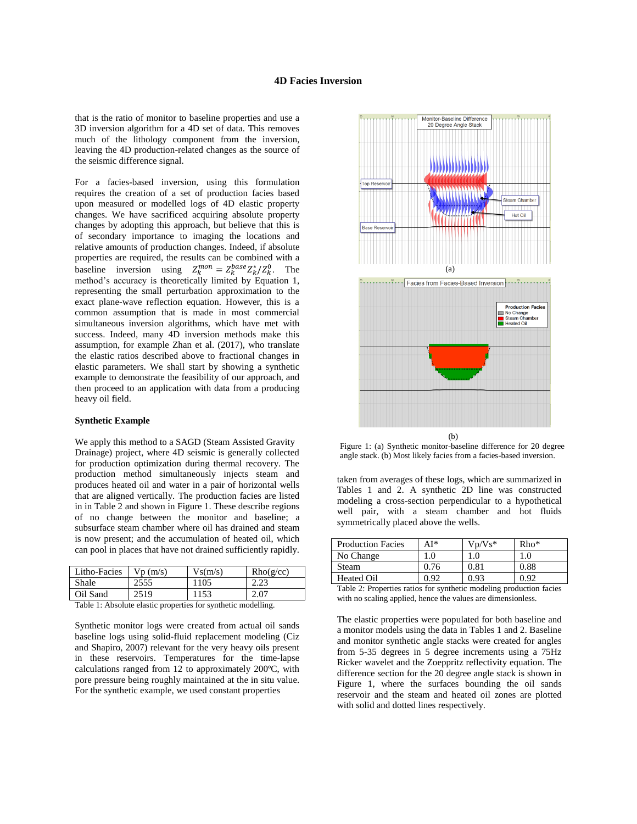## **4D Facies Inversion**

that is the ratio of monitor to baseline properties and use a 3D inversion algorithm for a 4D set of data. This removes much of the lithology component from the inversion, leaving the 4D production-related changes as the source of the seismic difference signal.

For a facies-based inversion, using this formulation requires the creation of a set of production facies based upon measured or modelled logs of 4D elastic property changes. We have sacrificed acquiring absolute property changes by adopting this approach, but believe that this is of secondary importance to imaging the locations and relative amounts of production changes. Indeed, if absolute properties are required, the results can be combined with a baseline inversion using  $Z_k^{mon} = Z_k^{base} Z_k^*/Z_k^0$ . The method's accuracy is theoretically limited by Equation 1, representing the small perturbation approximation to the exact plane-wave reflection equation. However, this is a common assumption that is made in most commercial simultaneous inversion algorithms, which have met with success. Indeed, many 4D inversion methods make this assumption, for example Zhan et al. (2017), who translate the elastic ratios described above to fractional changes in elastic parameters. We shall start by showing a synthetic example to demonstrate the feasibility of our approach, and then proceed to an application with data from a producing heavy oil field.

#### **Synthetic Example**

We apply this method to a SAGD (Steam Assisted Gravity Drainage) project, where 4D seismic is generally collected for production optimization during thermal recovery. The production method simultaneously injects steam and produces heated oil and water in a pair of horizontal wells that are aligned vertically. The production facies are listed in in Table 2 and shown in Figure 1. These describe regions of no change between the monitor and baseline; a subsurface steam chamber where oil has drained and steam is now present; and the accumulation of heated oil, which can pool in places that have not drained sufficiently rapidly.

| Litho-Facies | Vp(m/s) | Vs(m/s) | Rho(g/cc) |
|--------------|---------|---------|-----------|
| Shale        | 2555    | 1105    | 2.L.      |
| Oil Sand     | 2519    | 1153    | 2.07      |

Table 1: Absolute elastic properties for synthetic modelling.

Synthetic monitor logs were created from actual oil sands baseline logs using solid-fluid replacement modeling (Ciz and Shapiro, 2007) relevant for the very heavy oils present in these reservoirs. Temperatures for the time-lapse calculations ranged from 12 to approximately 200ºC, with pore pressure being roughly maintained at the in situ value. For the synthetic example, we used constant properties



Figure 1: (a) Synthetic monitor-baseline difference for 20 degree angle stack. (b) Most likely facies from a facies-based inversion.

taken from averages of these logs, which are summarized in Tables 1 and 2. A synthetic 2D line was constructed modeling a cross-section perpendicular to a hypothetical well pair, with a steam chamber and hot fluids symmetrically placed above the wells.

| <b>Production Facies</b> | AI*  | $Vn/Vs*$ | $Rho*$ |
|--------------------------|------|----------|--------|
| No Change                | 1.0  | 1.0      | 1.0    |
| Steam                    | 0.76 | 0.81     | 0.88   |
| <b>Heated Oil</b>        | በ ዓን | 0.93     | 0 ዓ2   |

Table 2: Properties ratios for synthetic modeling production facies with no scaling applied, hence the values are dimensionless.

The elastic properties were populated for both baseline and a monitor models using the data in Tables 1 and 2. Baseline and monitor synthetic angle stacks were created for angles from 5-35 degrees in 5 degree increments using a 75Hz Ricker wavelet and the Zoeppritz reflectivity equation. The difference section for the 20 degree angle stack is shown in Figure 1, where the surfaces bounding the oil sands reservoir and the steam and heated oil zones are plotted with solid and dotted lines respectively.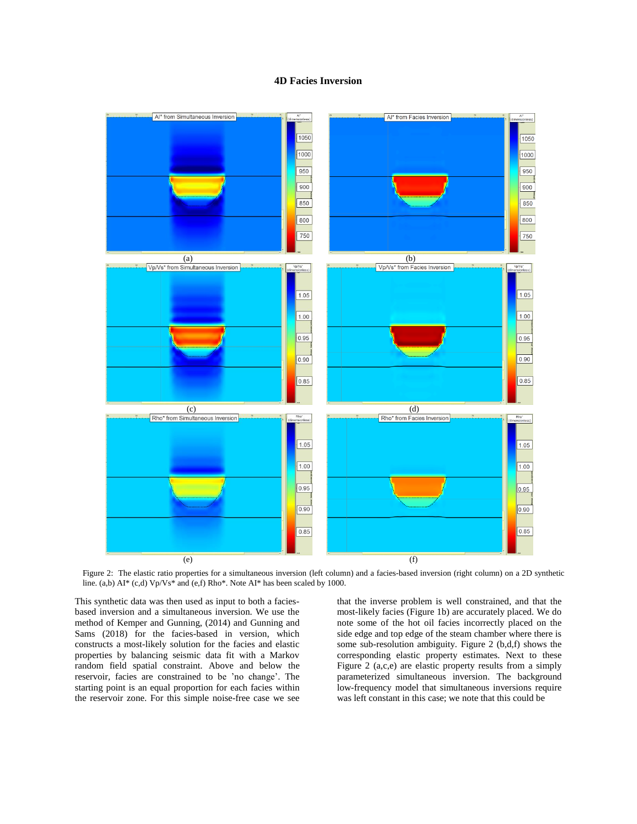## **4D Facies Inversion**



Figure 2: The elastic ratio properties for a simultaneous inversion (left column) and a facies-based inversion (right column) on a 2D synthetic line. (a,b) AI\* (c,d) Vp/Vs\* and (e,f) Rho\*. Note AI\* has been scaled by 1000.

This synthetic data was then used as input to both a faciesbased inversion and a simultaneous inversion. We use the method of Kemper and Gunning, (2014) and Gunning and Sams (2018) for the facies-based in version, which constructs a most-likely solution for the facies and elastic properties by balancing seismic data fit with a Markov random field spatial constraint. Above and below the reservoir, facies are constrained to be 'no change'. The starting point is an equal proportion for each facies within the reservoir zone. For this simple noise-free case we see

that the inverse problem is well constrained, and that the most-likely facies (Figure 1b) are accurately placed. We do note some of the hot oil facies incorrectly placed on the side edge and top edge of the steam chamber where there is some sub-resolution ambiguity. Figure 2 (b,d,f) shows the corresponding elastic property estimates. Next to these Figure 2 (a,c,e) are elastic property results from a simply parameterized simultaneous inversion. The background low-frequency model that simultaneous inversions require was left constant in this case; we note that this could be